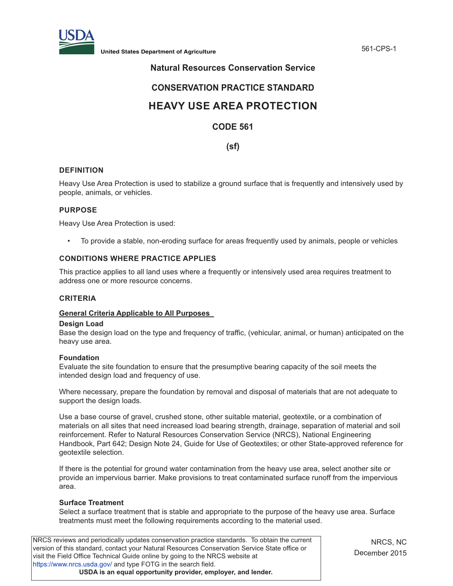

**United States Department of Agriculture** 561-CPS-1

# **Natural Resources Conservation Service**

# **CONSERVATION PRACTICE STANDARD**

# **HEAVY USE AREA PROTECTION**

# **CODE 561**

**(sf)**

# **DEFINITION**

Heavy Use Area Protection is used to stabilize a ground surface that is frequently and intensively used by people, animals, or vehicles.

## **PURPOSE**

Heavy Use Area Protection is used:

• To provide a stable, non-eroding surface for areas frequently used by animals, people or vehicles

# **CONDITIONS WHERE PRACTICE APPLIES**

This practice applies to all land uses where a frequently or intensively used area requires treatment to address one or more resource concerns.

#### **CRITERIA**

#### **General Criteria Applicable to All Purposes**

#### **Design Load**

Base the design load on the type and frequency of traffic, (vehicular, animal, or human) anticipated on the heavy use area.

#### **Foundation**

Evaluate the site foundation to ensure that the presumptive bearing capacity of the soil meets the intended design load and frequency of use.

Where necessary, prepare the foundation by removal and disposal of materials that are not adequate to support the design loads.

Use a base course of gravel, crushed stone, other suitable material, geotextile, or a combination of materials on all sites that need increased load bearing strength, drainage, separation of material and soil reinforcement. Refer to Natural Resources Conservation Service (NRCS), National Engineering Handbook, Part 642; Design Note 24, Guide for Use of Geotextiles; or other State-approved reference for geotextile selection.

If there is the potential for ground water contamination from the heavy use area, select another site or provide an impervious barrier. Make provisions to treat contaminated surface runoff from the impervious area.

#### **Surface Treatment**

Select a surface treatment that is stable and appropriate to the purpose of the heavy use area. Surface treatments must meet the following requirements according to the material used.

NRCS reviews and periodically updates conservation practice standards. To obtain the current version of this standard, contact your Natural Resources Conservation Service State office or visit the Field Office Technical Guide online by going to the NRCS website at <https://www.nrcs.usda.gov/>and type FOTG in the search field. **USDA is an equal opportunity provider, employer, and lender.**

NRCS, NC December 2015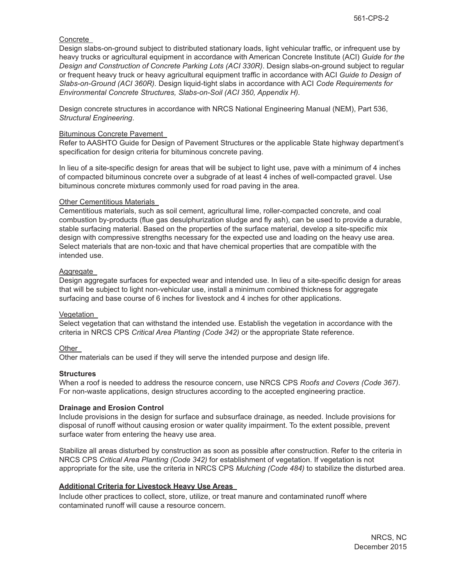## Concrete

Design slabs-on-ground subject to distributed stationary loads, light vehicular traffic, or infrequent use by heavy trucks or agricultural equipment in accordance with American Concrete Institute (ACI) *Guide for the Design and Construction of Concrete Parking Lots (ACI 330R)*. Design slabs-on-ground subject to regular or frequent heavy truck or heavy agricultural equipment traffic in accordance with ACI *Guide to Design of Slabs-on-Ground (ACI 360R).* Design liquid-tight slabs in accordance with ACI *Code Requirements for Environmental Concrete Structures, Slabs-on-Soil (ACI 350, Appendix H).* 

Design concrete structures in accordance with NRCS National Engineering Manual (NEM), Part 536, *Structural Engineering*.

#### Bituminous Concrete Pavement

Refer to AASHTO Guide for Design of Pavement Structures or the applicable State highway department's specification for design criteria for bituminous concrete paving.

In lieu of a site-specific design for areas that will be subject to light use, pave with a minimum of 4 inches of compacted bituminous concrete over a subgrade of at least 4 inches of well-compacted gravel. Use bituminous concrete mixtures commonly used for road paving in the area.

#### Other Cementitious Materials

Cementitious materials, such as soil cement, agricultural lime, roller-compacted concrete, and coal combustion by-products (flue gas desulphurization sludge and fly ash), can be used to provide a durable, stable surfacing material. Based on the properties of the surface material, develop a site-specific mix design with compressive strengths necessary for the expected use and loading on the heavy use area. Select materials that are non-toxic and that have chemical properties that are compatible with the intended use.

#### Aggregate

Design aggregate surfaces for expected wear and intended use. In lieu of a site-specific design for areas that will be subject to light non-vehicular use, install a minimum combined thickness for aggregate surfacing and base course of 6 inches for livestock and 4 inches for other applications.

#### Vegetation

Select vegetation that can withstand the intended use. Establish the vegetation in accordance with the criteria in NRCS CPS *Critical Area Planting (Code 342)* or the appropriate State reference.

#### **Other**

Other materials can be used if they will serve the intended purpose and design life.

#### **Structures**

When a roof is needed to address the resource concern, use NRCS CPS *Roofs and Covers (Code 367)*. For non-waste applications, design structures according to the accepted engineering practice.

#### **Drainage and Erosion Control**

Include provisions in the design for surface and subsurface drainage, as needed. Include provisions for disposal of runoff without causing erosion or water quality impairment. To the extent possible, prevent surface water from entering the heavy use area.

Stabilize all areas disturbed by construction as soon as possible after construction. Refer to the criteria in NRCS CPS *Critical Area Planting (Code 342)* for establishment of vegetation. If vegetation is not appropriate for the site, use the criteria in NRCS CPS *Mulching (Code 484)* to stabilize the disturbed area.

#### **Additional Criteria for Livestock Heavy Use Areas**

Include other practices to collect, store, utilize, or treat manure and contaminated runoff where contaminated runoff will cause a resource concern.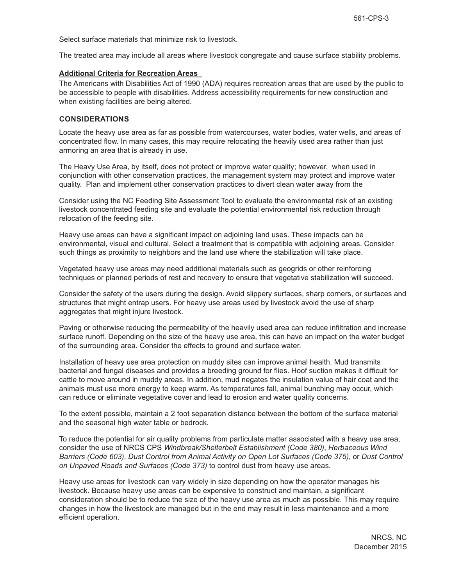Select surface materials that minimize risk to livestock.

The treated area may include all areas where livestock congregate and cause surface stability problems.

#### **Additional Criteria for Recreation Areas**

The Americans with Disabilities Act of 1990 (ADA) requires recreation areas that are used by the public to be accessible to people with disabilities. Address accessibility requirements for new construction and when existing facilities are being altered.

#### **CONSIDERATIONS**

Locate the heavy use area as far as possible from watercourses, water bodies, water wells, and areas of concentrated flow. In many cases, this may require relocating the heavily used area rather than just armoring an area that is already in use.

The Heavy Use Area, by itself, does not protect or improve water quality; however, when used in conjunction with other conservation practices, the management system may protect and improve water quality. Plan and implement other conservation practices to divert clean water away from the

Consider using the NC Feeding Site Assessment Tool to evaluate the environmental risk of an existing livestock concentrated feeding site and evaluate the potential environmental risk reduction through relocation of the feeding site.

Heavy use areas can have a significant impact on adjoining land uses. These impacts can be environmental, visual and cultural. Select a treatment that is compatible with adjoining areas. Consider such things as proximity to neighbors and the land use where the stabilization will take place.

Vegetated heavy use areas may need additional materials such as geogrids or other reinforcing techniques or planned periods of rest and recovery to ensure that vegetative stabilization will succeed.

Consider the safety of the users during the design. Avoid slippery surfaces, sharp corners, or surfaces and structures that might entrap users. For heavy use areas used by livestock avoid the use of sharp aggregates that might injure livestock.

Paving or otherwise reducing the permeability of the heavily used area can reduce infiltration and increase surface runoff. Depending on the size of the heavy use area, this can have an impact on the water budget of the surrounding area. Consider the effects to ground and surface water.

Installation of heavy use area protection on muddy sites can improve animal health. Mud transmits bacterial and fungal diseases and provides a breeding ground for flies. Hoof suction makes it difficult for cattle to move around in muddy areas. In addition, mud negates the insulation value of hair coat and the animals must use more energy to keep warm. As temperatures fall, animal bunching may occur, which can reduce or eliminate vegetative cover and lead to erosion and water quality concerns.

To the extent possible, maintain a 2 foot separation distance between the bottom of the surface material and the seasonal high water table or bedrock.

To reduce the potential for air quality problems from particulate matter associated with a heavy use area, consider the use of NRCS CPS *Windbreak/Shelterbelt Establishment (Code 380)*, *Herbaceous Wind Barriers (Code 603)*, *Dust Control from Animal Activity on Open Lot Surfaces (Code 375)*, or *Dust Control on Unpaved Roads and Surfaces (Code 373)* to control dust from heavy use areas.

Heavy use areas for livestock can vary widely in size depending on how the operator manages his livestock. Because heavy use areas can be expensive to construct and maintain, a significant consideration should be to reduce the size of the heavy use area as much as possible. This may require changes in how the livestock are managed but in the end may result in less maintenance and a more efficient operation.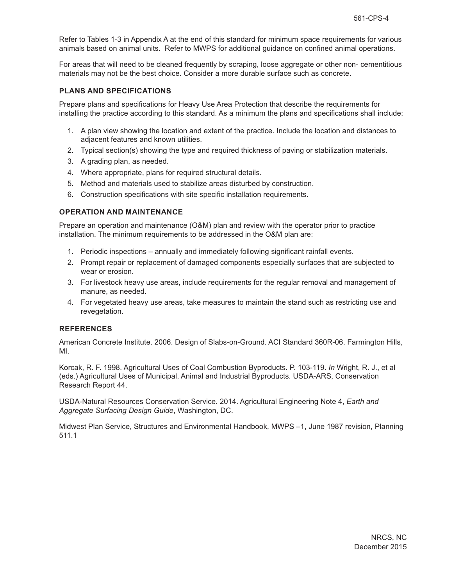Refer to Tables 1-3 in Appendix A at the end of this standard for minimum space requirements for various animals based on animal units. Refer to MWPS for additional guidance on confined animal operations.

For areas that will need to be cleaned frequently by scraping, loose aggregate or other non- cementitious materials may not be the best choice. Consider a more durable surface such as concrete.

#### **PLANS AND SPECIFICATIONS**

Prepare plans and specifications for Heavy Use Area Protection that describe the requirements for installing the practice according to this standard. As a minimum the plans and specifications shall include:

- 1. A plan view showing the location and extent of the practice. Include the location and distances to adjacent features and known utilities.
- 2. Typical section(s) showing the type and required thickness of paving or stabilization materials.
- 3. A grading plan, as needed.
- 4. Where appropriate, plans for required structural details.
- 5. Method and materials used to stabilize areas disturbed by construction.
- 6. Construction specifications with site specific installation requirements.

## **OPERATION AND MAINTENANCE**

Prepare an operation and maintenance (O&M) plan and review with the operator prior to practice installation. The minimum requirements to be addressed in the O&M plan are:

- 1. Periodic inspections annually and immediately following significant rainfall events.
- 2. Prompt repair or replacement of damaged components especially surfaces that are subjected to wear or erosion.
- 3. For livestock heavy use areas, include requirements for the regular removal and management of manure, as needed.
- 4. For vegetated heavy use areas, take measures to maintain the stand such as restricting use and revegetation.

#### **REFERENCES**

American Concrete Institute. 2006. Design of Slabs-on-Ground. ACI Standard 360R-06. Farmington Hills, MI.

Korcak, R. F. 1998. Agricultural Uses of Coal Combustion Byproducts. P. 103-119. *In* Wright, R. J., et al (eds.) Agricultural Uses of Municipal, Animal and Industrial Byproducts. USDA-ARS, Conservation Research Report 44.

USDA-Natural Resources Conservation Service. 2014. Agricultural Engineering Note 4, *Earth and Aggregate Surfacing Design Guide*, Washington, DC.

Midwest Plan Service, Structures and Environmental Handbook, MWPS –1, June 1987 revision, Planning 511.1